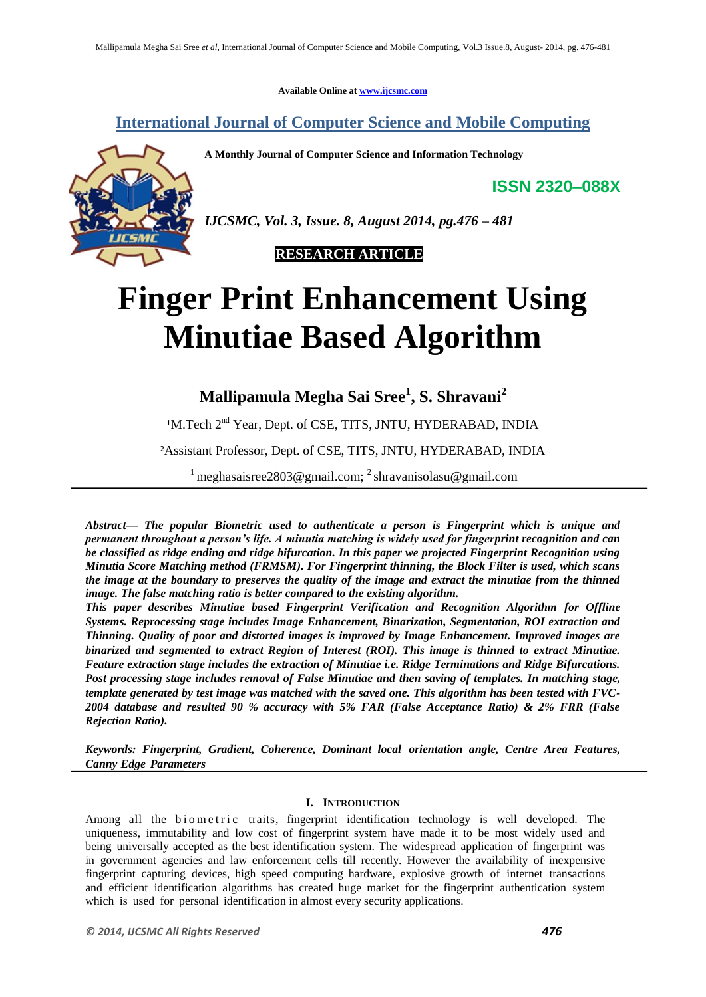**Available Online at www.ijcsmc.com**

**International Journal of Computer Science and Mobile Computing**

**A Monthly Journal of Computer Science and Information Technology**

**ISSN 2320–088X**



*IJCSMC, Vol. 3, Issue. 8, August 2014, pg.476 – 481*



# **Finger Print Enhancement Using Minutiae Based Algorithm**

**Mallipamula Megha Sai Sree<sup>1</sup> , S. Shravani<sup>2</sup>**

<sup>1</sup>M.Tech 2<sup>nd</sup> Year, Dept. of CSE, TITS, JNTU, HYDERABAD, INDIA

²Assistant Professor, Dept. of CSE, TITS, JNTU, HYDERABAD, INDIA

<sup>1</sup> meghasaisree2803@gmail.com; <sup>2</sup> shravanisolasu@gmail.com

*Abstract— The popular Biometric used to authenticate a person is Fingerprint which is unique and permanent throughout a person's life. A minutia matching is widely used for fingerprint recognition and can be classified as ridge ending and ridge bifurcation. In this paper we projected Fingerprint Recognition using Minutia Score Matching method (FRMSM). For Fingerprint thinning, the Block Filter is used, which scans the image at the boundary to preserves the quality of the image and extract the minutiae from the thinned image. The false matching ratio is better compared to the existing algorithm.*

*This paper describes Minutiae based Fingerprint Verification and Recognition Algorithm for Offline Systems. Reprocessing stage includes Image Enhancement, Binarization, Segmentation, ROI extraction and Thinning. Quality of poor and distorted images is improved by Image Enhancement. Improved images are binarized and segmented to extract Region of Interest (ROI). This image is thinned to extract Minutiae. Feature extraction stage includes the extraction of Minutiae i.e. Ridge Terminations and Ridge Bifurcations. Post processing stage includes removal of False Minutiae and then saving of templates. In matching stage, template generated by test image was matched with the saved one. This algorithm has been tested with FVC-2004 database and resulted 90 % accuracy with 5% FAR (False Acceptance Ratio) & 2% FRR (False Rejection Ratio).*

*Keywords: Fingerprint, Gradient, Coherence, Dominant local orientation angle, Centre Area Features, Canny Edge Parameters*

## **I. INTRODUCTION**

Among all the biometric traits, fingerprint identification technology is well developed. The uniqueness, immutability and low cost of fingerprint system have made it to be most widely used and being universally accepted as the best identification system. The widespread application of fingerprint was in government agencies and law enforcement cells till recently. However the availability of inexpensive fingerprint capturing devices, high speed computing hardware, explosive growth of internet transactions and efficient identification algorithms has created huge market for the fingerprint authentication system which is used for personal identification in almost every security applications.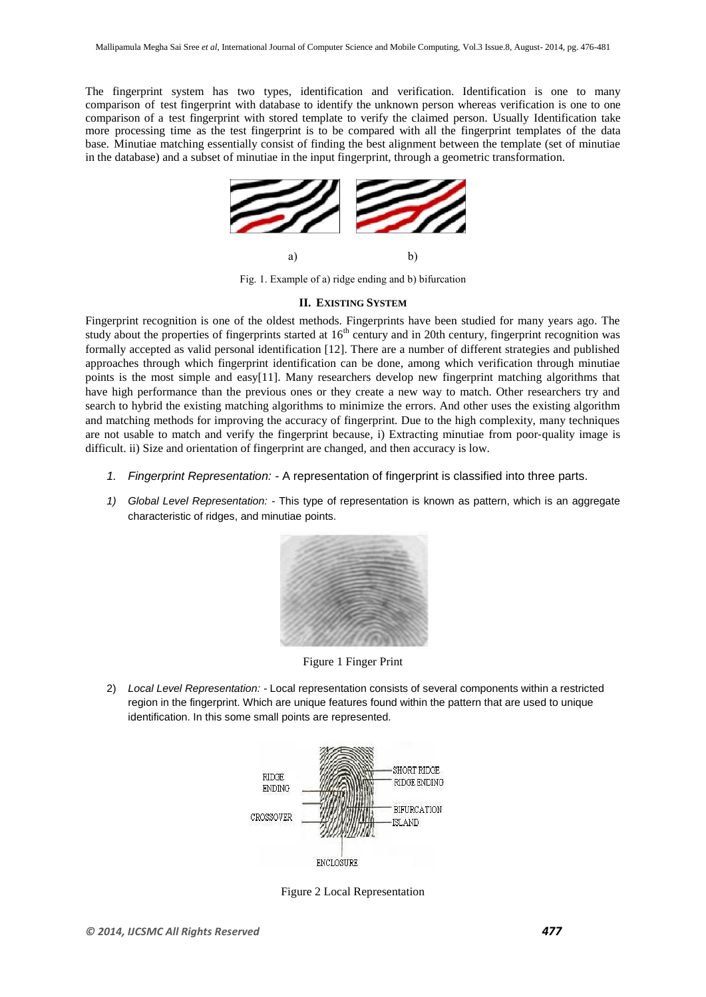The fingerprint system has two types, identification and verification. Identification is one to many comparison of test fingerprint with database to identify the unknown person whereas verification is one to one comparison of a test fingerprint with stored template to verify the claimed person. Usually Identification take more processing time as the test fingerprint is to be compared with all the fingerprint templates of the data base. Minutiae matching essentially consist of finding the best alignment between the template (set of minutiae in the database) and a subset of minutiae in the input fingerprint, through a geometric transformation.



Fig. 1. Example of a) ridge ending and b) bifurcation

## **II. EXISTING SYSTEM**

Fingerprint recognition is one of the oldest methods. Fingerprints have been studied for many years ago. The study about the properties of fingerprints started at  $16<sup>th</sup>$  century and in 20th century, fingerprint recognition was formally accepted as valid personal identification [12]. There are a number of different strategies and published approaches through which fingerprint identification can be done, among which verification through minutiae points is the most simple and easy[11]. Many researchers develop new fingerprint matching algorithms that have high performance than the previous ones or they create a new way to match. Other researchers try and search to hybrid the existing matching algorithms to minimize the errors. And other uses the existing algorithm and matching methods for improving the accuracy of fingerprint. Due to the high complexity, many techniques are not usable to match and verify the fingerprint because, i) Extracting minutiae from poor-quality image is difficult. ii) Size and orientation of fingerprint are changed, and then accuracy is low.

- *1. Fingerprint Representation: -* A representation of fingerprint is classified into three parts.
- *1) Global Level Representation: -* This type of representation is known as pattern, which is an aggregate characteristic of ridges, and minutiae points.



Figure 1 Finger Print

2) *Local Level Representation: -* Local representation consists of several components within a restricted region in the fingerprint. Which are unique features found within the pattern that are used to unique identification. In this some small points are represented.



Figure 2 Local Representation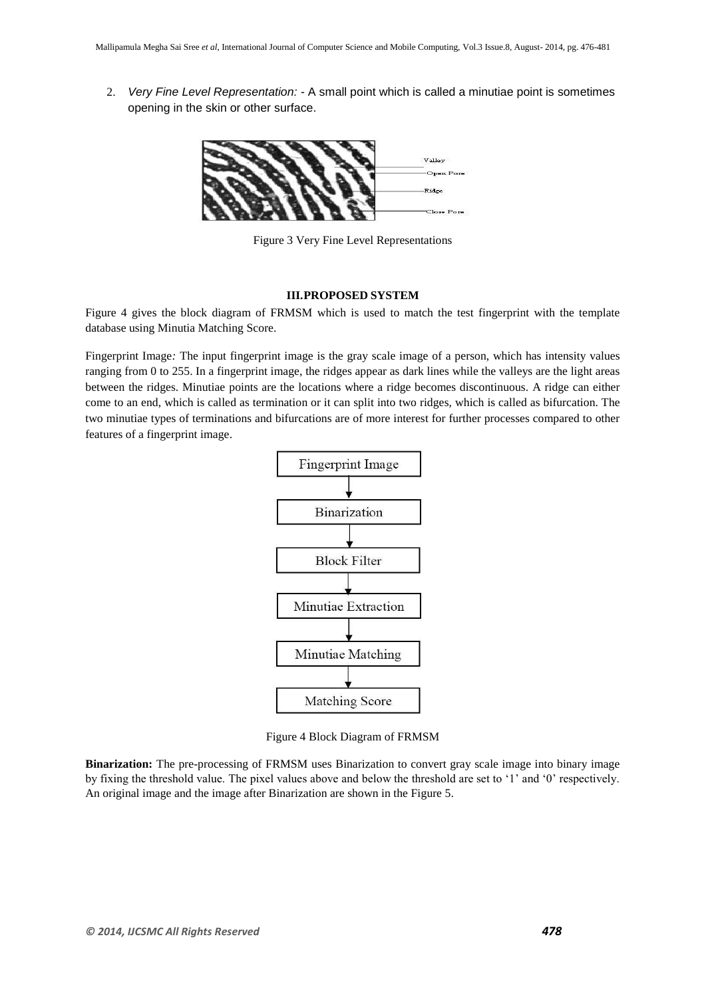2. *Very Fine Level Representation: -* A small point which is called a minutiae point is sometimes opening in the skin or other surface.



Figure 3 Very Fine Level Representations

## **III.PROPOSED SYSTEM**

Figure 4 gives the block diagram of FRMSM which is used to match the test fingerprint with the template database using Minutia Matching Score.

Fingerprint Image*:* The input fingerprint image is the gray scale image of a person, which has intensity values ranging from 0 to 255. In a fingerprint image, the ridges appear as dark lines while the valleys are the light areas between the ridges. Minutiae points are the locations where a ridge becomes discontinuous. A ridge can either come to an end, which is called as termination or it can split into two ridges, which is called as bifurcation. The two minutiae types of terminations and bifurcations are of more interest for further processes compared to other features of a fingerprint image.



Figure 4 Block Diagram of FRMSM

**Binarization:** The pre-processing of FRMSM uses Binarization to convert gray scale image into binary image by fixing the threshold value. The pixel values above and below the threshold are set to '1' and '0' respectively. An original image and the image after Binarization are shown in the Figure 5.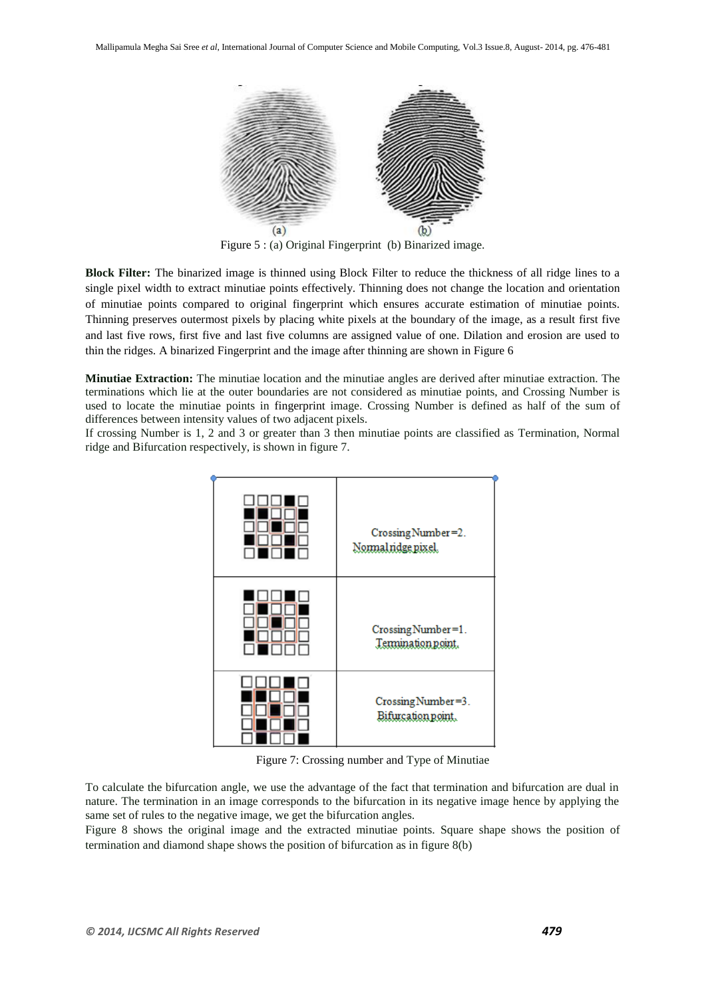

Figure 5 : (a) Original Fingerprint (b) Binarized image.

**Block Filter:** The binarized image is thinned using Block Filter to reduce the thickness of all ridge lines to a single pixel width to extract minutiae points effectively. Thinning does not change the location and orientation of minutiae points compared to original fingerprint which ensures accurate estimation of minutiae points. Thinning preserves outermost pixels by placing white pixels at the boundary of the image, as a result first five and last five rows, first five and last five columns are assigned value of one. Dilation and erosion are used to thin the ridges. A binarized Fingerprint and the image after thinning are shown in Figure 6

**Minutiae Extraction:** The minutiae location and the minutiae angles are derived after minutiae extraction. The terminations which lie at the outer boundaries are not considered as minutiae points, and Crossing Number is used to locate the minutiae points in fingerprint image. Crossing Number is defined as half of the sum of differences between intensity values of two adjacent pixels.

If crossing Number is 1, 2 and 3 or greater than 3 then minutiae points are classified as Termination, Normal ridge and Bifurcation respectively, is shown in figure 7.



Figure 7: Crossing number and Type of Minutiae

To calculate the bifurcation angle, we use the advantage of the fact that termination and bifurcation are dual in nature. The termination in an image corresponds to the bifurcation in its negative image hence by applying the same set of rules to the negative image, we get the bifurcation angles.

Figure 8 shows the original image and the extracted minutiae points. Square shape shows the position of termination and diamond shape shows the position of bifurcation as in figure 8(b)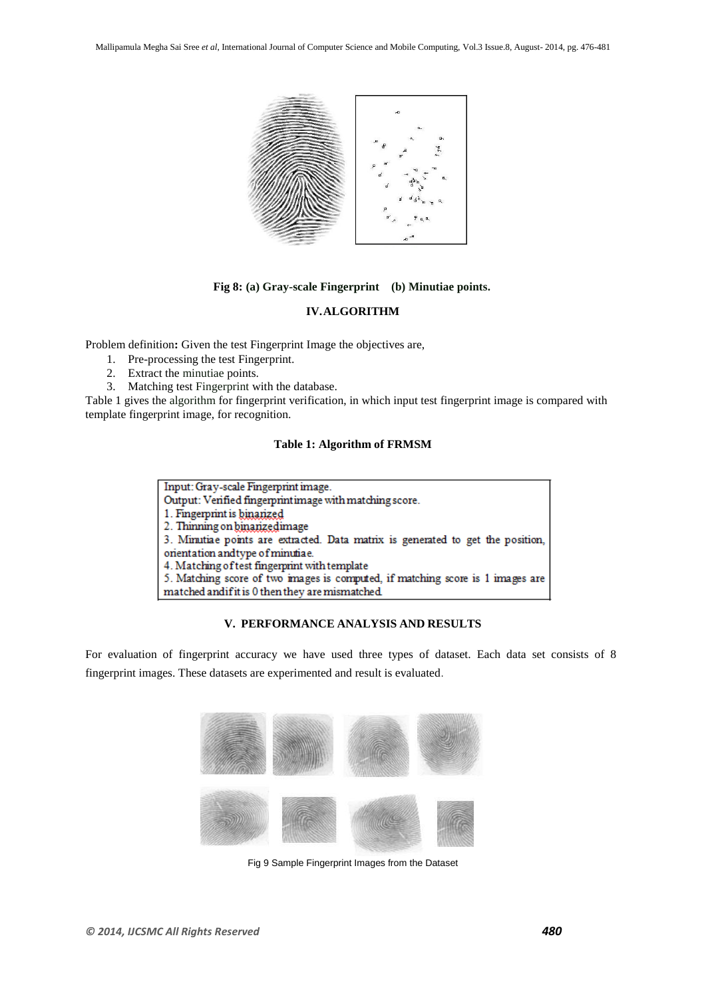

# **Fig 8: (a) Gray-scale Fingerprint (b) Minutiae points.**

# **IV.ALGORITHM**

Problem definition**:** Given the test Fingerprint Image the objectives are,

- 1. Pre-processing the test Fingerprint.
- 2. Extract the minutiae points.
- 3. Matching test Fingerprint with the database.

Table 1 gives the algorithm for fingerprint verification, in which input test fingerprint image is compared with template fingerprint image, for recognition.

#### **Table 1: Algorithm of FRMSM**

| Input: Gray-scale Fingerprint image.                                            |
|---------------------------------------------------------------------------------|
| Output: Verified fingerprintimage with matching score.                          |
| 1. Fingerprint is binarized                                                     |
| 2. Thinning on binarizedimage                                                   |
| 3. Minutiae points are extracted. Data matrix is generated to get the position, |
| orientation andtype of minutiae.                                                |
| 4. Matching of test fingerprint with template                                   |
| 5. Matching score of two images is computed, if matching score is 1 images are  |
| matched and if it is 0 then they are mismatched.                                |

# **V. PERFORMANCE ANALYSIS AND RESULTS**

For evaluation of fingerprint accuracy we have used three types of dataset. Each data set consists of 8 fingerprint images. These datasets are experimented and result is evaluated.



Fig 9 Sample Fingerprint Images from the Dataset